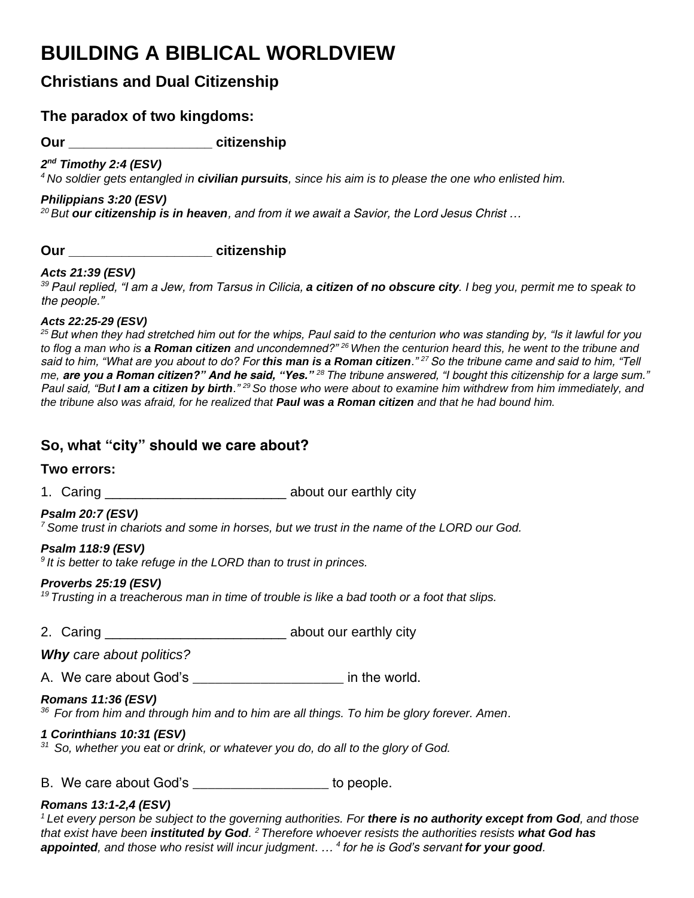# **BUILDING A BIBLICAL WORLDVIEW**

# **Christians and Dual Citizenship**

## **The paradox of two kingdoms:**

**Our \_\_\_\_\_\_\_\_\_\_\_\_\_\_\_\_\_\_\_ citizenship**

*2 nd Timothy 2:4 (ESV)* 

*<sup>4</sup> No soldier gets entangled in civilian pursuits, since his aim is to please the one who enlisted him.*

## *Philippians 3:20 (ESV)*

*<sup>20</sup> But our citizenship is in heaven, and from it we await a Savior, the Lord Jesus Christ …*

**Our \_\_\_\_\_\_\_\_\_\_\_\_\_\_\_\_\_\_\_ citizenship**

## *Acts 21:39 (ESV)*

*<sup>39</sup>Paul replied, "I am a Jew, from Tarsus in Cilicia, a citizen of no obscure city. I beg you, permit me to speak to the people."*

## *Acts 22:25-29 (ESV)*

*<sup>25</sup>But when they had stretched him out for the whips, Paul said to the centurion who was standing by, "Is it lawful for you to flog a man who is a Roman citizen and uncondemned?" <sup>26</sup>When the centurion heard this, he went to the tribune and said to him, "What are you about to do? For this man is a Roman citizen." <sup>27</sup>So the tribune came and said to him, "Tell me, are you a Roman citizen?" And he said, "Yes." <sup>28</sup>The tribune answered, "I bought this citizenship for a large sum." Paul said, "But I am a citizen by birth." <sup>29</sup>So those who were about to examine him withdrew from him immediately, and the tribune also was afraid, for he realized that Paul was a Roman citizen and that he had bound him.*

## **So, what "city" should we care about?**

## **Two errors:**

1. Caring \_\_\_\_\_\_\_\_\_\_\_\_\_\_\_\_\_\_\_\_\_\_\_\_ about our earthly city

## *Psalm 20:7 (ESV)*

*<sup>7</sup>Some trust in chariots and some in horses, but we trust in the name of the LORD our God.*

## *Psalm 118:9 (ESV)*

*<sup>9</sup>It is better to take refuge in the LORD than to trust in princes.* 

## *Proverbs 25:19 (ESV)*

*<sup>19</sup>Trusting in a treacherous man in time of trouble is like a bad tooth or a foot that slips.*

2. Caring \_\_\_\_\_\_\_\_\_\_\_\_\_\_\_\_\_\_\_\_\_\_\_\_\_\_\_\_\_\_\_\_\_\_ about our earthly city

*Why care about politics?*

A. We care about God's example 2 and the world.

## *Romans 11:36 (ESV)*

*<sup>36</sup>For from him and through him and to him are all things. To him be glory forever. Amen*.

## *1 Corinthians 10:31 (ESV)*

*<sup>31</sup>So, whether you eat or drink, or whatever you do, do all to the glory of God.*

B. We care about God's but consider to people.

## *Romans 13:1-2,4 (ESV)*

<sup>1</sup> Let every person be subject to the governing authorities. For **there is no authority except from God**, and those *that exist have been instituted by God. <sup>2</sup>Therefore whoever resists the authorities resists what God has appointed, and those who resist will incur judgment. … <sup>4</sup>for he is God's servant for your good.*